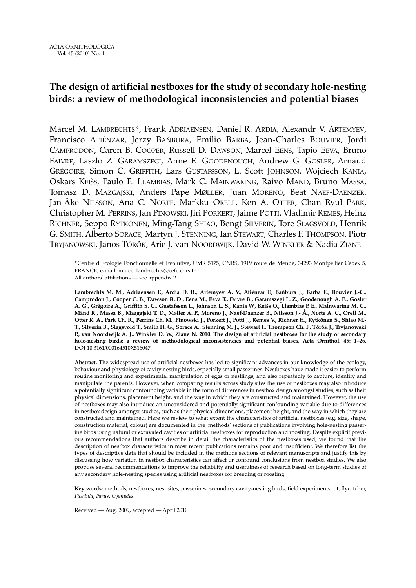# **The design of artificial nestboxes for the study of secondary hole-nesting birds: a review of methodological inconsistencies and potential biases**

Marcel M. LAMBRECHTS\*, Frank ADRIAENSEN, Daniel R. ARDIA, Alexandr V. ARTEMYEV, Francisco ATIÉNZAR, Jerzy BAŃBURA, Emilio BARBA, Jean-Charles BOUVIER, Jordi CAMPRODON, Caren B. COOPER, Russell D. DAWSON, Marcel EENS, Tapio EEVA, Bruno FAIVRE, Laszlo Z. GARAMSZEGI, Anne E. GOODENOUGH, Andrew G. GOSLER, Arnaud GRÉGOIRE, Simon C. GRIFFITH, Lars GUSTAFSSON, L. Scott JOHNSON, Wojciech KANIA, Oskars KEIŠS, Paulo E. LLAMBIAS, Mark C. MAINWARING, Raivo MÄND, Bruno MASSA, Tomasz D. MAZGAJSKI, Anders Pape MØLLER, Juan MORENO, Beat NAEF-DAENZER, Jan-Åke NILSSON, Ana C. NORTE, Markku ORELL, Ken A. OTTER, Chan Ryul PARK, Christopher M. PERRINS, Jan PINOWSKI, Jiri PORKERT, Jaime POTTI, Vladimir REMES, Heinz RICHNER, Seppo RYTKÖNEN, Ming-Tang SHIAO, Bengt SILVERIN, Tore SLAGSVOLD, Henrik G. SMITH, Alberto SORACE, Martyn J. STENNING, Ian STEWART, Charles F. THOMPSON, Piotr TRYJANOWSKI, Janos TÖRÖK, Arie J. van NOORDWIJK, David W. WINKLER & Nadia ZIANE

\*Centre d'Ecologie Fonctionnelle et Evolutive, UMR 5175, CNRS, 1919 route de Mende, 34293 Montpellier Cedex 5, FRANCE, e-mail: marcel.lambrechts@cefe.cnrs.fr All authors' affiliations — see appendix 2

**Lambrechts M. M., Adriaensen F., Ardia D. R., Artemyev A. V., Atiénzar F., Bańbura J., Barba E., Bouvier J.-C., Camprodon J., Cooper C. B., Dawson R. D., Eens M., Eeva T., Faivre B., Garamszegi L. Z., Goodenough A. E., Gosler A. G., Grégoire A., Griffith S. C., Gustafsson L., Johnson L. S., Kania W., Keišs O., Llambias P. E., Mainwaring M. C., Mänd R., Massa B., Mazgajski T. D., M**r**ller A. P., Moreno J., Naef-Daenzer B., Nilsson J.- Å., Norte A. C., Orell M., Otter K. A., Park Ch. R., Perrins Ch. M., Pinowski J., Porkert J., Potti J., Remes V., Richner H., Rytkönen S., Shiao M.- T., Silverin B., Slagsvold T., Smith H. G., Sorace A., Stenning M. J., Stewart I., Thompson Ch. F., Török J., Tryjanowski P., van Noordwijk A. J., Winkler D. W., Ziane N. 2010. The design of artificial nestboxes for the study of secondary hole-nesting birds: a review of methodological inconsistencies and potential biases. Acta Ornithol. 45: 1–26.**  DOI 10.3161/000164510X516047

**Abstract.** The widespread use of artificial nestboxes has led to significant advances in our knowledge of the ecology, behaviour and physiology of cavity nesting birds, especially small passerines. Nestboxes have made it easier to perform routine monitoring and experimental manipulation of eggs or nestlings, and also repeatedly to capture, identify and manipulate the parents. However, when comparing results across study sites the use of nestboxes may also introduce a potentially significant confounding variable in the form of differences in nestbox design amongst studies, such as their physical dimensions, placement height, and the way in which they are constructed and maintained. However, the use of nestboxes may also introduce an unconsidered and potentially significant confounding variable due to differences in nestbox design amongst studies, such as their physical dimensions, placement height, and the way in which they are constructed and maintained. Here we review to what extent the characteristics of artificial nestboxes (e.g. size, shape, construction material, colour) are documented in the 'methods' sections of publications involving hole-nesting passerine birds using natural or excavated cavities or artificial nestboxes for reproduction and roosting. Despite explicit previous recommendations that authors describe in detail the characteristics of the nestboxes used, we found that the description of nestbox characteristics in most recent publications remains poor and insufficient. We therefore list the types of descriptive data that should be included in the methods sections of relevant manuscripts and justify this by discussing how variation in nestbox characteristics can affect or confound conclusions from nestbox studies. We also propose several recommendations to improve the reliability and usefulness of research based on long-term studies of any secondary hole-nesting species using artificial nestboxes for breeding or roosting.

**Key words:** methods, nestboxes, nest sites, passerines, secondary cavity-nesting birds, field experiments, tit, flycatcher, *Ficedula*, *Parus*, *Cyanistes*

Received — Aug. 2009, accepted — April 2010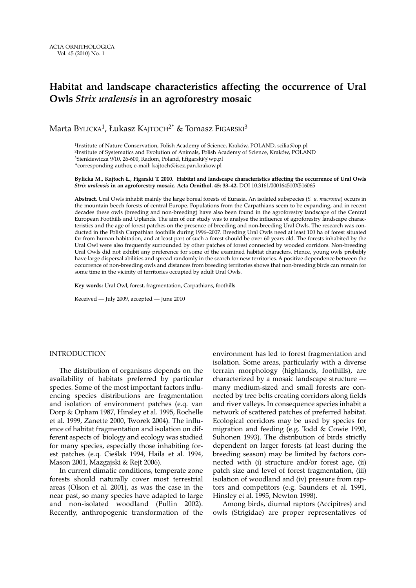## **Habitat and landscape characteristics affecting the occurrence of Ural Owls** *Strix uralensis* **in an agroforestry mosaic**

#### Marta BYLICKA<sup>1</sup>, Łukasz KAJTOCH<sup>2\*</sup> & Tomasz FIGARSKI<sup>3</sup>

<sup>1</sup>Institute of Nature Conservation, Polish Academy of Science, Kraków, POLAND, scilia@op.pl 2Institute of Systematics and Evolution of Animals, Polish Academy of Science, Kraków, POLAND <sup>3</sup>Sienkiewicza 9/10, 26-600, Radom, Poland, t.figarski@wp.pl \*corresponding author, e-mail: kajtoch@isez.pan.krakow.pl

#### **Bylicka M., Kajtoch Ł., Figarski T. 2010. Habitat and landscape characteristics affecting the occurrence of Ural Owls** *Strix uralensis* **in an agroforestry mosaic. Acta Ornithol. 45: 33–42.** DOI 10.3161/000164510X516065

**Abstract.** Ural Owls inhabit mainly the large boreal forests of Eurasia. An isolated subspecies (*S. u. macroura*) occurs in the mountain beech forests of central Europe. Populations from the Carpathians seem to be expanding, and in recent decades these owls (breeding and non-breeding) have also been found in the agroforestry landscape of the Central European Foothills and Uplands. The aim of our study was to analyse the influence of agroforestry landscape characteristics and the age of forest patches on the presence of breeding and non-breeding Ural Owls. The research was conducted in the Polish Carpathian foothills during 1996–2007. Breeding Ural Owls need at least 100 ha of forest situated far from human habitation, and at least part of such a forest should be over 60 years old. The forests inhabited by the Ural Owl were also frequently surrounded by other patches of forest connected by wooded corridors. Non-breeding Ural Owls did not exhibit any preference for some of the examined habitat characters. Hence, young owls probably have large dispersal abilities and spread randomly in the search for new territories. A positive dependence between the occurrence of non-breeding owls and distances from breeding territories shows that non-breeding birds can remain for some time in the vicinity of territories occupied by adult Ural Owls.

**Key words:** Ural Owl, forest, fragmentation, Carpathians, foothills

Received — July 2009, accepted — June 2010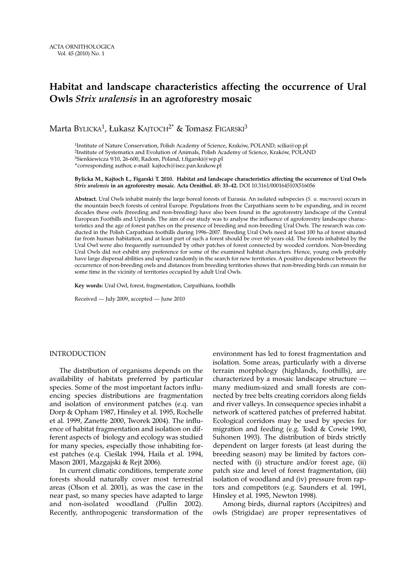## **Habitat and landscape characteristics affecting the occurrence of Ural Owls** *Strix uralensis* **in an agroforestry mosaic**

#### Marta BYLICKA<sup>1</sup>, Łukasz KAJTOCH<sup>2\*</sup> & Tomasz FIGARSKI<sup>3</sup>

<sup>1</sup>Institute of Nature Conservation, Polish Academy of Science, Kraków, POLAND, scilia@op.pl 2Institute of Systematics and Evolution of Animals, Polish Academy of Science, Kraków, POLAND <sup>3</sup>Sienkiewicza 9/10, 26-600, Radom, Poland, t.figarski@wp.pl \*corresponding author, e-mail: kajtoch@isez.pan.krakow.pl

#### **Bylicka M., Kajtoch Ł., Figarski T. 2010. Habitat and landscape characteristics affecting the occurrence of Ural Owls** *Strix uralensis* **in an agroforestry mosaic. Acta Ornithol. 45: 33–42.** DOI 10.3161/000164510X516056

**Abstract.** Ural Owls inhabit mainly the large boreal forests of Eurasia. An isolated subspecies (*S. u. macroura*) occurs in the mountain beech forests of central Europe. Populations from the Carpathians seem to be expanding, and in recent decades these owls (breeding and non-breeding) have also been found in the agroforestry landscape of the Central European Foothills and Uplands. The aim of our study was to analyse the influence of agroforestry landscape characteristics and the age of forest patches on the presence of breeding and non-breeding Ural Owls. The research was conducted in the Polish Carpathian foothills during 1996–2007. Breeding Ural Owls need at least 100 ha of forest situated far from human habitation, and at least part of such a forest should be over 60 years old. The forests inhabited by the Ural Owl were also frequently surrounded by other patches of forest connected by wooded corridors. Non-breeding Ural Owls did not exhibit any preference for some of the examined habitat characters. Hence, young owls probably have large dispersal abilities and spread randomly in the search for new territories. A positive dependence between the occurrence of non-breeding owls and distances from breeding territories shows that non-breeding birds can remain for some time in the vicinity of territories occupied by adult Ural Owls.

**Key words:** Ural Owl, forest, fragmentation, Carpathians, foothills

Received — July 2009, accepted — June 2010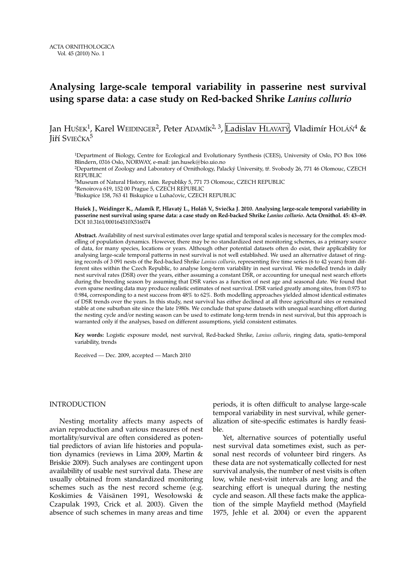# **Analysing large-scale temporal variability in passerine nest survival using sparse data: a case study on Red-backed Shrike** *Lanius collurio*

#### Jan HUŠEK<sup>1</sup>, Karel WEIDINGER<sup>2</sup>, Peter ADAMÍK<sup>2, 3</sup>, Ladislav HLAVATÝ, Vladimír HOLÁŇ<sup>4</sup> & Jiří Sviečka<sup>5</sup>

1Department of Biology, Centre for Ecological and Evolutionary Synthesis (CEES), University of Oslo, PO Box 1066 Blindern, 0316 Oslo, NORWAY, e-mail: jan.husek@bio.uio.no

2Department of Zoology and Laboratory of Ornithology, Palacký University, tř. Svobody 26, 771 46 Olomouc, CZECH REPUBLIC

<sup>3</sup>Museum of Natural History, nám. Republiky 5, 771 73 Olomouc, CZECH REPUBLIC 4Renoirova 619, 152 00 Prague 5, CZECH REPUBLIC

5Biskupice 158, 763 41 Biskupice u Luhačovic, CZECH REPUBLIC

**Hušek J., Weidinger K., Adamík P., Hlavatý L., Holáň V., Sviečka J. 2010. Analysing large-scale temporal variability in passerine nest survival using sparse data: a case study on Red-backed Shrike** *Lanius collurio***. Acta Ornithol. 45: 43–49.** DOI 10.3161/000164510X516074

**Abstract.** Availability of nest survival estimates over large spatial and temporal scales is necessary for the complex modelling of population dynamics. However, there may be no standardized nest monitoring schemes, as a primary source of data, for many species, locations or years. Although other potential datasets often do exist, their applicability for analysing large-scale temporal patterns in nest survival is not well established. We used an alternative dataset of ringing records of 3 091 nests of the Red-backed Shrike *Lanius collurio*, representing five time series (6 to 42 years) from different sites within the Czech Republic, to analyse long-term variability in nest survival. We modelled trends in daily nest survival rates (DSR) over the years, either assuming a constant DSR, or accounting for unequal nest search efforts during the breeding season by assuming that DSR varies as a function of nest age and seasonal date. We found that even sparse nesting data may produce realistic estimates of nest survival. DSR varied greatly among sites, from 0.975 to 0.984, corresponding to a nest success from 48% to 62%. Both modelling approaches yielded almost identical estimates of DSR trends over the years. In this study, nest survival has either declined at all three agricultural sites or remained stable at one suburban site since the late 1980s. We conclude that sparse datasets with unequal searching effort during the nesting cycle and/or nesting season can be used to estimate long-term trends in nest survival, but this approach is warranted only if the analyses, based on different assumptions, yield consistent estimates.

**Key words:** Logistic exposure model, nest survival, Red-backed Shrike, *Lanius collurio*, ringing data, spatio-temporal variability, trends

Received — Dec. 2009, accepted — March 2010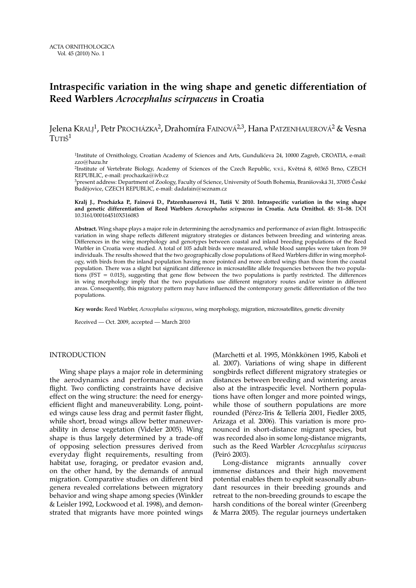# **Intraspecific variation in the wing shape and genetic differentiation of Reed Warblers** *Acrocephalus scirpaceus* **in Croatia**

Jelena KRALJ<sup>1</sup>, Petr Procházka<sup>2</sup>, Drahomíra FAINOVÁ<sup>2,3</sup>, Hana PATZENHAUEROVÁ<sup>2</sup> & Vesna TUTIŠ<sup>1</sup>

<sup>1</sup>Institute of Ornithology, Croatian Academy of Sciences and Arts, Gundulićeva 24, 10000 Zagreb, CROATIA, e-mail: zzo@hazu.hr

2Institute of Vertebrate Biology, Academy of Sciences of the Czech Republic, v.v.i., Květná 8, 60365 Brno, CZECH REPUBLIC, e-mail: prochazka@ivb.cz

3present address: Department of Zoology, Faculty of Science, University of South Bohemia, Branišovská 31, 37005 České Budějovice, CZECH REPUBLIC, e-mail: dadafain@seznam.cz

**Kralj J., Procházka P., Fainová D., Patzenhauerová H., Tutiš V. 2010. Intraspecific variation in the wing shape and genetic differentiation of Reed Warblers** *Acrocephalus scirpaceus* **in Croatia. Acta Ornithol. 45: 51–58.** DOI 10.3161/000164510X516083

**Abstract.** Wing shape plays a major role in determining the aerodynamics and performance of avian flight. Intraspecific variation in wing shape reflects different migratory strategies or distances between breeding and wintering areas. Differences in the wing morphology and genotypes between coastal and inland breeding populations of the Reed Warbler in Croatia were studied. A total of 105 adult birds were measured, while blood samples were taken from 59 individuals. The results showed that the two geographically close populations of Reed Warblers differ in wing morphology, with birds from the inland population having more pointed and more slotted wings than those from the coastal population. There was a slight but significant difference in microsatellite allele frequencies between the two populations (FST = 0.015), suggesting that gene flow between the two populations is partly restricted. The differences in wing morphology imply that the two populations use different migratory routes and/or winter in different areas. Consequently, this migratory pattern may have influenced the contemporary genetic differentiation of the two populations.

**Key words:** Reed Warbler, *Acrocephalus scirpaceus*, wing morphology, migration, microsatellites, genetic diversity

Received — Oct. 2009, accepted — March 2010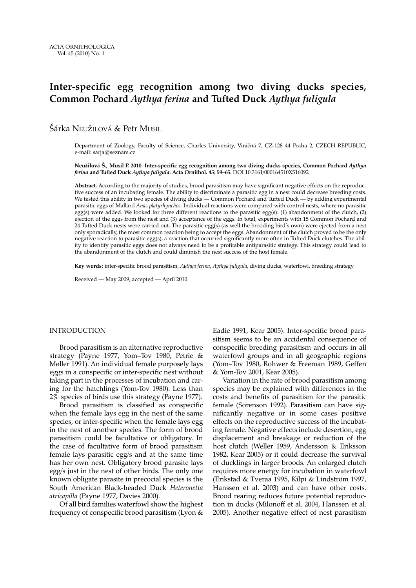# **Inter-specific egg recognition among two diving ducks species, Common Pochard** *Aythya ferina* **and Tufted Duck** *Aythya fuligula*

#### Šárka NEUžILOVÁ & Petr MUSIL

Department of Zoology, Faculty of Science, Charles University, Viničná 7, CZ-128 44 Praha 2, CZECH REPUBLIC, e-mail: sarja@seznam.cz

**Neužilová Š., Musil P. 2010. Inter-specific egg recognition among two diving ducks species, Common Pochard** *Aythya ferina* **and Tufted Duck** *Aythya fuligula***. Acta Ornithol. 45: 59–65.** DOI 10.3161/000164510X516092

**Abstract.** According to the majority of studies, brood parasitism may have significant negative effects on the reproductive success of an incubating female. The ability to discriminate a parasitic egg in a nest could decrease breeding costs. We tested this ability in two species of diving ducks — Common Pochard and Tufted Duck — by adding experimental parasitic eggs of Mallard *Anas platyrhynchos*. Individual reactions were compared with control nests, where no parasitic egg(s) were added. We looked for three different reactions to the parasitic egg(s): (1) abandonment of the clutch, (2) ejection of the eggs from the nest and (3) acceptance of the eggs. In total, experiments with 15 Common Pochard and 24 Tufted Duck nests were carried out. The parasitic egg(s) (as well the brooding bird's own) were ejected from a nest only sporadically, the most common reaction being to accept the eggs. Abandonment of the clutch proved to be the only negative reaction to parasitic egg(s), a reaction that occurred significantly more often in Tufted Duck clutches. The ability to identify parasitic eggs does not always need to be a profitable antiparasitic strategy. This strategy could lead to the abandonment of the clutch and could diminish the nest success of the host female.

**Key words:** inter-specific brood parasitism, *Aythya ferina*, *Aythya fuligula*, diving ducks, waterfowl, breeding strategy

Received — May 2009, accepted — April 2010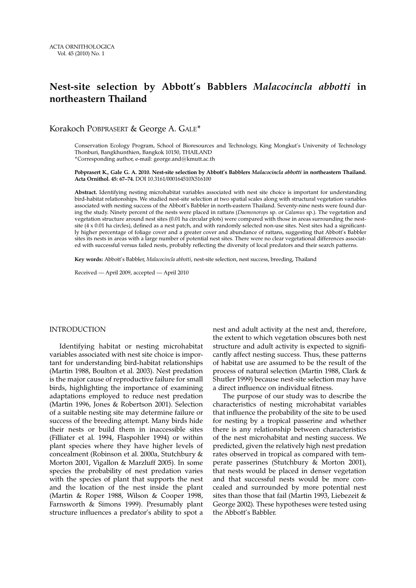## **Nest-site selection by Abbott's Babblers** *Malacocincla abbotti* **in northeastern Thailand**

Korakoch POBPRASERT & George A. GALE\*

Conservation Ecology Program, School of Bioresources and Technology, King Mongkut's University of Technology Thonburi, Bangkhunthien, Bangkok 10150, THAILAND \*Corresponding author, e-mail: george.and@kmutt.ac.th

**Pobprasert K., Gale G. A. 2010. Nest-site selection by Abbott's Babblers** *Malacocincla abbotti* **in northeastern Thailand. Acta Ornithol. 45: 67–74.** DOI 10.3161/000164510X516100

**Abstract.** Identifying nesting microhabitat variables associated with nest site choice is important for understanding bird-habitat relationships. We studied nest-site selection at two spatial scales along with structural vegetation variables associated with nesting success of the Abbott's Babbler in north-eastern Thailand. Seventy-nine nests were found during the study. Ninety percent of the nests were placed in rattans (*Daemonorops* sp. or *Calamus* sp.). The vegetation and vegetation structure around nest sites (0.01 ha circular plots) were compared with those in areas surrounding the nestsite (4 x 0.01 ha circles), defined as a nest patch, and with randomly selected non-use sites. Nest sites had a significantly higher percentage of foliage cover and a greater cover and abundance of rattans, suggesting that Abbott's Babbler sites its nests in areas with a large number of potential nest sites. There were no clear vegetational differences associated with successful versus failed nests, probably reflecting the diversity of local predators and their search patterns.

**Key words:** Abbott's Babbler, *Malacocincla abbotti*, nest-site selection, nest success, breeding, Thailand

Received — April 2009, accepted — April 2010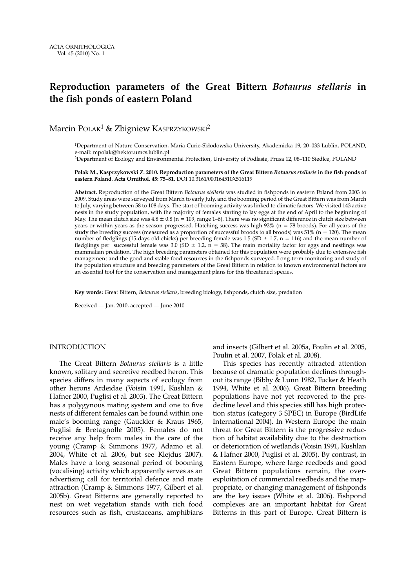## **Reproduction parameters of the Great Bittern** *Botaurus stellaris* **in the fish ponds of eastern Poland**

#### Marcin POLAK<sup>1</sup> & Zbigniew KASPRZYKOWSKI<sup>2</sup>

1Department of Nature Conservation, Maria Curie-Skłodowska University, Akademicka 19, 20–033 Lublin, POLAND, e-mail: mpolak@hektor.umcs.lublin.pl 2Department of Ecology and Environmental Protection, University of Podlasie, Prusa 12, 08–110 Siedlce, POLAND

**Polak M., Kasprzykowski Z. 2010. Reproduction parameters of the Great Bittern** *Botaurus stellaris* **in the fish ponds of eastern Poland. Acta Ornithol. 45: 75–81.** DOI 10.3161/000164510X516119

**Abstract.** Reproduction of the Great Bittern *Botaurus stellaris* was studied in fishponds in eastern Poland from 2003 to 2009. Study areas were surveyed from March to early July, and the booming period of the Great Bittern was from March to July, varying between 58 to 108 days. The start of booming activity was linked to climatic factors. We visited 143 active nests in the study population, with the majority of females starting to lay eggs at the end of April to the beginning of May. The mean clutch size was  $4.8 \pm 0.8$  (n = 109, range 1–6). There was no significant difference in clutch size between years or within years as the season progressed. Hatching success was high  $92\%$  (n = 78 broods). For all years of the study the breeding success (measured as a proportion of successful broods to all broods) was  $51\%$  (n = 120). The mean number of fledglings (15-days old chicks) per breeding female was 1.5 (SD  $\pm$  1.7, n = 116) and the mean number of fledglings per successful female was 3.0 (SD  $\pm$  1.2, n = 58). The main mortality factor for eggs and nestlings was mammalian predation. The high breeding parameters obtained for this population were probably due to extensive fish management and the good and stable food resources in the fishponds surveyed. Long-term monitoring and study of the population structure and breeding parameters of the Great Bittern in relation to known environmental factors are an essential tool for the conservation and management plans for this threatened species.

**Key words:** Great Bittern, *Botaurus stellaris*, breeding biology, fishponds, clutch size, predation

Received — Jan. 2010, accepted — June 2010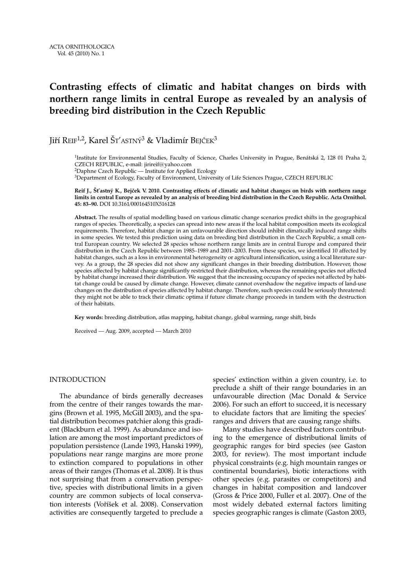# **Contrasting effects of climatic and habitat changes on birds with northern range limits in central Europe as revealed by an analysis of breeding bird distribution in the Czech Republic**

#### Jiří REIF<sup>1,2</sup>, Karel Š<sup>T</sup>'ASTNÝ<sup>3</sup> & Vladimír BEJČEK<sup>3</sup>

<sup>1</sup>Institute for Environmental Studies, Faculty of Science, Charles University in Prague, Benátská 2, 128 01 Praha 2, CZECH REPUBLIC, e-mail: jirireif@yahoo.com 2Daphne Czech Republic — Institute for Applied Ecology 3Department of Ecology, Faculty of Environment, University of Life Sciences Prague, CZECH REPUBLIC

**Reif J., Šťastný K., Bejček V. 2010. Contrasting effects of climatic and habitat changes on birds with northern range limits in central Europe as revealed by an analysis of breeding bird distribution in the Czech Republic. Acta Ornithol. 45: 83–90.** DOI 10.3161/000164510X516128

**Abstract.** The results of spatial modelling based on various climatic change scenarios predict shifts in the geographical ranges of species. Theoretically, a species can spread into new areas if the local habitat composition meets its ecological requirements. Therefore, habitat change in an unfavourable direction should inhibit climatically induced range shifts in some species. We tested this prediction using data on breeding bird distribution in the Czech Republic, a small central European country. We selected 28 species whose northern range limits are in central Europe and compared their distribution in the Czech Republic between 1985–1989 and 2001–2003. From these species, we identified 10 affected by habitat changes, such as a loss in environmental heterogeneity or agricultural intensification, using a local literature survey. As a group, the 28 species did not show any significant changes in their breeding distribution. However, those species affected by habitat change significantly restricted their distribution, whereas the remaining species not affected by habitat change increased their distribution. We suggest that the increasing occupancy of species not affected by habitat change could be caused by climate change. However, climate cannot overshadow the negative impacts of land-use changes on the distribution of species affected by habitat change. Therefore, such species could be seriously threatened: they might not be able to track their climatic optima if future climate change proceeds in tandem with the destruction of their habitats.

**Key words:** breeding distribution, atlas mapping, habitat change, global warming, range shift, birds

Received — Aug. 2009, accepted — March 2010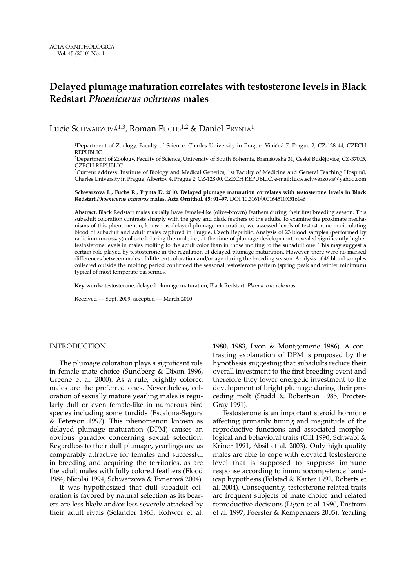## **Delayed plumage maturation correlates with testosterone levels in Black Redstart** *Phoenicurus ochruros* **males**

#### Lucie SCHWARZOVÁ<sup>1,3</sup>, Roman FUCHS<sup>1,2</sup> & Daniel FRYNTA<sup>1</sup>

1Department of Zoology, Faculty of Science, Charles University in Prague, Viničná 7, Prague 2, CZ-128 44, CZECH REPUBLIC

2Department of Zoology, Faculty of Science, University of South Bohemia, Branišovská 31, České Budějovice, CZ-37005, CZECH REPUBLIC

3Current address: Institute of Biology and Medical Genetics, 1st Faculty of Medicine and General Teaching Hospital, Charles University in Prague, Albertov 4, Prague 2, CZ-128 00, CZECH REPUBLIC, e-mail: lucie.schwarzova@yahoo.com

**Schwarzová L., Fuchs R., Frynta D. 2010. Delayed plumage maturation correlates with testosterone levels in Black Redstart** *Phoenicurus ochruros* **males. Acta Ornithol. 45: 91–97.** DOI 10.3161/000164510X516146

**Abstract.** Black Redstart males usually have female-like (olive-brown) feathers during their first breeding season. This subadult coloration contrasts sharply with the grey and black feathers of the adults. To examine the proximate mechanisms of this phenomenon, known as delayed plumage maturation, we assessed levels of testosterone in circulating blood of subadult and adult males captured in Prague, Czech Republic. Analysis of 23 blood samples (performed by radioimmunoassay) collected during the molt, i.e., at the time of plumage development, revealed significantly higher testosterone levels in males molting to the adult color than in those molting to the subadult one. This may suggest a certain role played by testosterone in the regulation of delayed plumage maturation. However, there were no marked differences between males of different coloration and/or age during the breeding season. Analysis of 46 blood samples collected outside the molting period confirmed the seasonal testosterone pattern (spring peak and winter minimum) typical of most temperate passerines.

**Key words:** testosterone, delayed plumage maturation, Black Redstart, *Phoenicurus ochruros*

Received — Sept. 2009, accepted — March 2010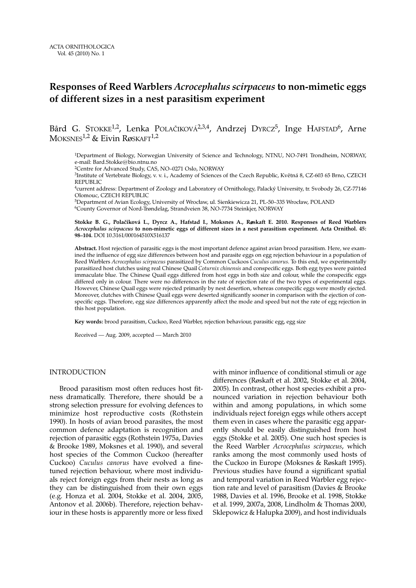## **Responses of Reed Warblers** *Acrocephalus scirpaceus* **to non-mimetic eggs of different sizes in a nest parasitism experiment**

Bård G. STOKKE<sup>1,2</sup>, Lenka POLAČIKOVÁ<sup>2,3,4</sup>, Andrzej DYRCZ<sup>5</sup>, Inge HAFSTAD<sup>6</sup>, Arne MOKSNES<sup>1,2</sup> & Eivin Røskaft<sup>1,2</sup>

1Department of Biology, Norwegian University of Science and Technology, NTNU, NO-7491 Trondheim, NORWAY, e-mail: Bard.Stokke@bio.ntnu.no

2Centre for Advanced Study, CAS, NO–0271 Oslo, NORWAY

3Institute of Vertebrate Biology, v. v. i., Academy of Sciences of the Czech Republic, Květná 8, CZ-603 65 Brno, CZECH REPUBLIC

4current address: Department of Zoology and Laboratory of Ornithology, Palacký University, tr. Svobody 26, CZ-77146 Olomouc, CZECH REPUBLIC

5Department of Avian Ecology, University of Wrocław, ul. Sienkiewicza 21, PL-50–335 Wrocław, POLAND <sup>6</sup>County Governor of Nord-Trøndelag, Strandveien 38, NO-7734 Steinkjer, NORWAY

**Stokke B. G., Polačiková L., Dyrcz A., Hafstad I., Moksnes A., R**r**skaft E. 2010. Responses of Reed Warblers** *Acrocephalus scirpaceus* **to non-mimetic eggs of different sizes in a nest parasitism experiment. Acta Ornithol. 45: 98–104.** DOI 10.3161/000164510X516137

**Abstract.** Host rejection of parasitic eggs is the most important defence against avian brood parasitism. Here, we examined the influence of egg size differences between host and parasite eggs on egg rejection behaviour in a population of Reed Warblers *Acrocephalus scirpaceus* parasitized by Common Cuckoos *Cuculus canorus*. To this end, we experimentally parasitized host clutches using real Chinese Quail *Coturnix chinensis* and conspecific eggs. Both egg types were painted immaculate blue. The Chinese Quail eggs differed from host eggs in both size and colour, while the conspecific eggs differed only in colour. There were no differences in the rate of rejection rate of the two types of experimental eggs. However, Chinese Quail eggs were rejected primarily by nest desertion, whereas conspecific eggs were mostly ejected. Moreover, clutches with Chinese Quail eggs were deserted significantly sooner in comparison with the ejection of conspecific eggs. Therefore, egg size differences apparently affect the mode and speed but not the rate of egg rejection in this host population.

**Key words:** brood parasitism, Cuckoo, Reed Warbler, rejection behaviour, parasitic egg, egg size

Received — Aug. 2009, accepted — March 2010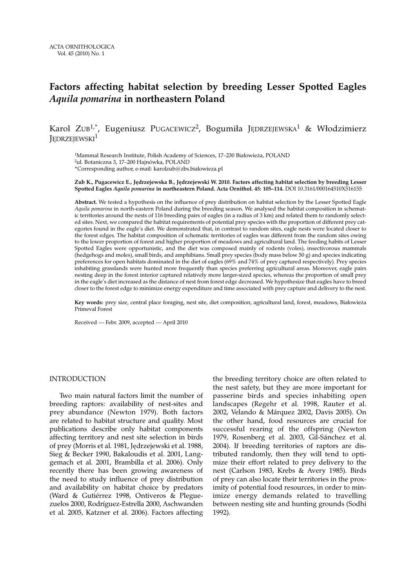## **Factors affecting habitat selection by breeding Lesser Spotted Eagles** *Aquila pomarina* **in northeastern Poland**

#### Karol ZUB<sup>1,\*</sup>, Eugeniusz PUGACEWICZ<sup>2</sup>, Bogumiła JĘDRZEJEWSKA<sup>1</sup> & Włodzimierz  $I$ EDRZEJEWSKI $1$

1Mammal Research Institute, Polish Academy of Sciences, 17–230 Białowieża, POLAND 2ul. Botaniczna 3, 17–200 Hajnówka, POLAND \*Corresponding author, e-mail: karolzub@zbs.bialowieza.pl

#### **Zub K., Pugacewicz E., Jędrzejewska B., Jędrzejewski W. 2010. Factors affecting habitat selection by breeding Lesser Spotted Eagles** *Aquila pomarina* **in northeastern Poland. Acta Ornithol. 45: 105–114.** DOI 10.3161/000164510X516155

**Abstract.** We tested a hypothesis on the influence of prey distribution on habitat selection by the Lesser Spotted Eagle *Aquila pomarina* in north-eastern Poland during the breeding season. We analysed the habitat composition in schematic territories around the nests of 116 breeding pairs of eagles (in a radius of 3 km) and related them to randomly selected sites. Next, we compared the habitat requirements of potential prey species with the proportion of different prey categories found in the eagle's diet. We demonstrated that, in contrast to random sites, eagle nests were located closer to the forest edges. The habitat composition of schematic territories of eagles was different from the random sites owing to the lower proportion of forest and higher proportion of meadows and agricultural land. The feeding habits of Lesser Spotted Eagles were opportunistic, and the diet was composed mainly of rodents (voles), insectivorous mammals (hedgehogs and moles), small birds, and amphibians. Small prey species (body mass below 50 g) and species indicating preferences for open habitats dominated in the diet of eagles (69% and 74% of prey captured respectively). Prey species inhabiting grasslands were hunted more frequently than species preferring agricultural areas. Moreover, eagle pairs nesting deep in the forest interior captured relatively more larger-sized species, whereas the proportion of small prey in the eagle's diet increased as the distance of nest from forest edge decreased. We hypothesize that eagles have to breed closer to the forest edge to minimize energy expenditure and time associated with prey capture and delivery to the nest.

**Key words:** prey size, central place foraging, nest site, diet composition, agricultural land, forest, meadows, Białowieża Primeval Forest

Received — Febr. 2009, accepted — April 2010